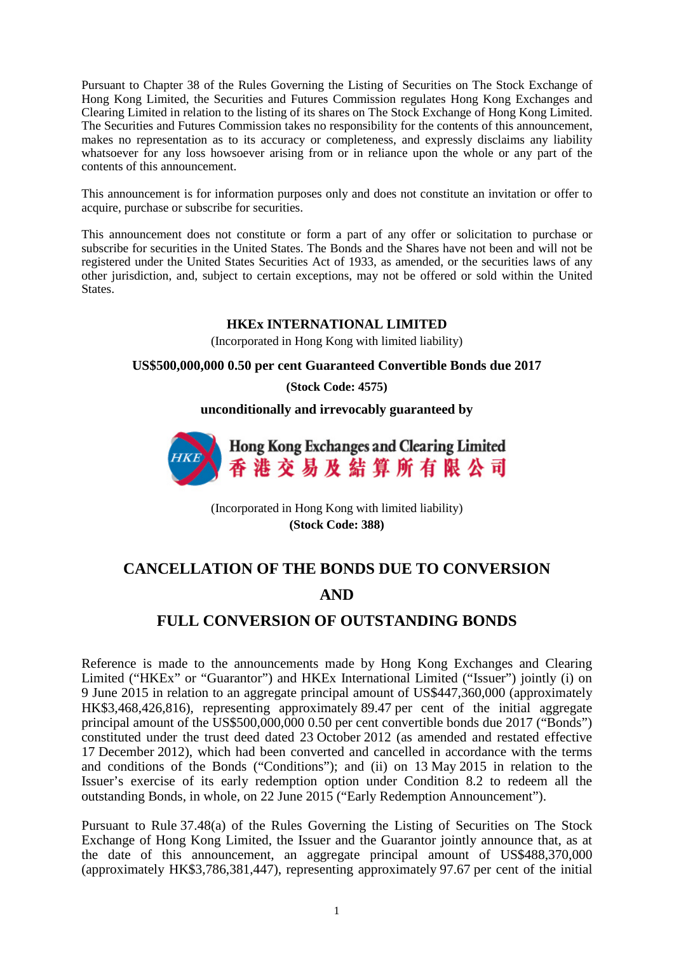Pursuant to Chapter 38 of the Rules Governing the Listing of Securities on The Stock Exchange of Hong Kong Limited, the Securities and Futures Commission regulates Hong Kong Exchanges and Clearing Limited in relation to the listing of its shares on The Stock Exchange of Hong Kong Limited. The Securities and Futures Commission takes no responsibility for the contents of this announcement, makes no representation as to its accuracy or completeness, and expressly disclaims any liability whatsoever for any loss howsoever arising from or in reliance upon the whole or any part of the contents of this announcement.

This announcement is for information purposes only and does not constitute an invitation or offer to acquire, purchase or subscribe for securities.

This announcement does not constitute or form a part of any offer or solicitation to purchase or subscribe for securities in the United States. The Bonds and the Shares have not been and will not be registered under the United States Securities Act of 1933, as amended, or the securities laws of any other jurisdiction, and, subject to certain exceptions, may not be offered or sold within the United States.

### **HKEx INTERNATIONAL LIMITED**

(Incorporated in Hong Kong with limited liability)

#### **US\$500,000,000 0.50 per cent Guaranteed Convertible Bonds due 2017**

**(Stock Code: 4575)**

**unconditionally and irrevocably guaranteed by**



(Incorporated in Hong Kong with limited liability) **(Stock Code: 388)**

# **CANCELLATION OF THE BONDS DUE TO CONVERSION**

## **AND**

### **FULL CONVERSION OF OUTSTANDING BONDS**

Reference is made to the announcements made by Hong Kong Exchanges and Clearing Limited ("HKEx" or "Guarantor") and HKEx International Limited ("Issuer") jointly (i) on 9 June 2015 in relation to an aggregate principal amount of US\$447,360,000 (approximately HK\$3,468,426,816), representing approximately 89.47 per cent of the initial aggregate principal amount of the US\$500,000,000 0.50 per cent convertible bonds due 2017 ("Bonds") constituted under the trust deed dated 23 October 2012 (as amended and restated effective 17 December 2012), which had been converted and cancelled in accordance with the terms and conditions of the Bonds ("Conditions"); and (ii) on 13 May 2015 in relation to the Issuer's exercise of its early redemption option under Condition 8.2 to redeem all the outstanding Bonds, in whole, on 22 June 2015 ("Early Redemption Announcement").

Pursuant to Rule 37.48(a) of the Rules Governing the Listing of Securities on The Stock Exchange of Hong Kong Limited, the Issuer and the Guarantor jointly announce that, as at the date of this announcement, an aggregate principal amount of US\$488,370,000 (approximately HK\$3,786,381,447), representing approximately 97.67 per cent of the initial